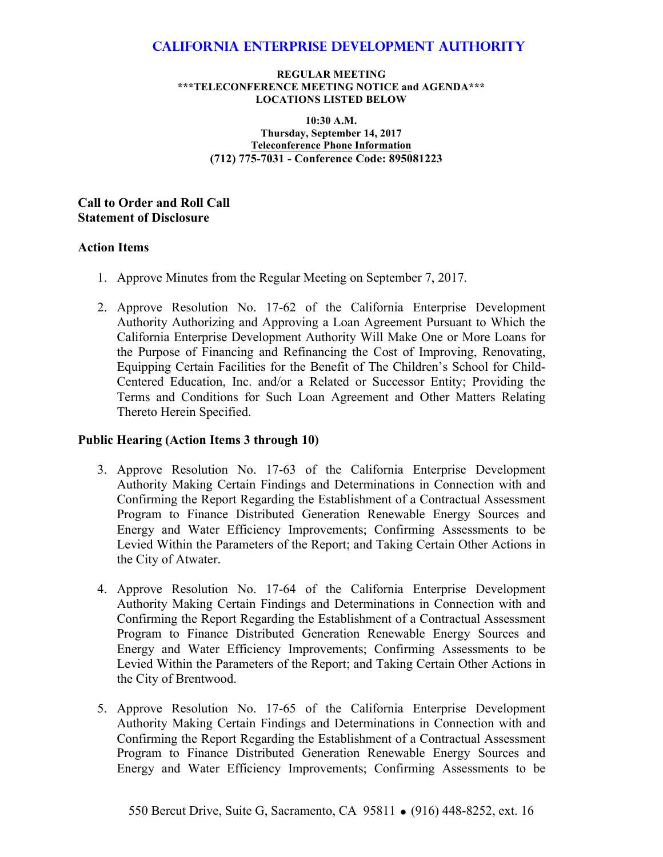### **California Enterprise Development Authority**

#### **REGULAR MEETING \*\*\*TELECONFERENCE MEETING NOTICE and AGENDA\*\*\* LOCATIONS LISTED BELOW**

**10:30 A.M. Thursday, September 14, 2017 Teleconference Phone Information (712) 775-7031 - Conference Code: 895081223**

**Call to Order and Roll Call Statement of Disclosure**

### **Action Items**

- 1. Approve Minutes from the Regular Meeting on September 7, 2017.
- 2. Approve Resolution No. 17-62 of the California Enterprise Development Authority Authorizing and Approving a Loan Agreement Pursuant to Which the California Enterprise Development Authority Will Make One or More Loans for the Purpose of Financing and Refinancing the Cost of Improving, Renovating, Equipping Certain Facilities for the Benefit of The Children's School for Child-Centered Education, Inc. and/or a Related or Successor Entity; Providing the Terms and Conditions for Such Loan Agreement and Other Matters Relating Thereto Herein Specified.

### **Public Hearing (Action Items 3 through 10)**

- 3. Approve Resolution No. 17-63 of the California Enterprise Development Authority Making Certain Findings and Determinations in Connection with and Confirming the Report Regarding the Establishment of a Contractual Assessment Program to Finance Distributed Generation Renewable Energy Sources and Energy and Water Efficiency Improvements; Confirming Assessments to be Levied Within the Parameters of the Report; and Taking Certain Other Actions in the City of Atwater.
- 4. Approve Resolution No. 17-64 of the California Enterprise Development Authority Making Certain Findings and Determinations in Connection with and Confirming the Report Regarding the Establishment of a Contractual Assessment Program to Finance Distributed Generation Renewable Energy Sources and Energy and Water Efficiency Improvements; Confirming Assessments to be Levied Within the Parameters of the Report; and Taking Certain Other Actions in the City of Brentwood.
- 5. Approve Resolution No. 17-65 of the California Enterprise Development Authority Making Certain Findings and Determinations in Connection with and Confirming the Report Regarding the Establishment of a Contractual Assessment Program to Finance Distributed Generation Renewable Energy Sources and Energy and Water Efficiency Improvements; Confirming Assessments to be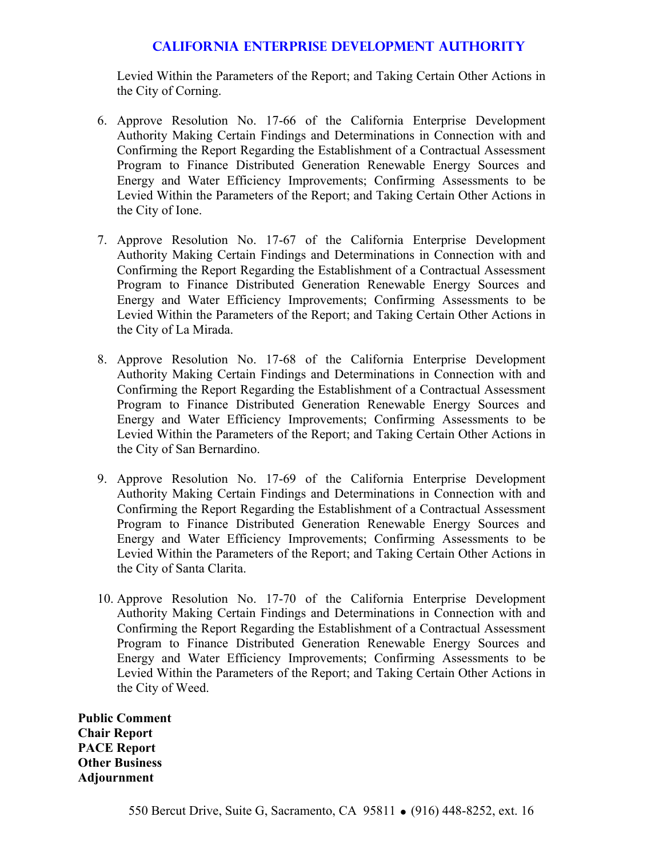# **California Enterprise Development Authority**

Levied Within the Parameters of the Report; and Taking Certain Other Actions in the City of Corning.

- 6. Approve Resolution No. 17-66 of the California Enterprise Development Authority Making Certain Findings and Determinations in Connection with and Confirming the Report Regarding the Establishment of a Contractual Assessment Program to Finance Distributed Generation Renewable Energy Sources and Energy and Water Efficiency Improvements; Confirming Assessments to be Levied Within the Parameters of the Report; and Taking Certain Other Actions in the City of Ione.
- 7. Approve Resolution No. 17-67 of the California Enterprise Development Authority Making Certain Findings and Determinations in Connection with and Confirming the Report Regarding the Establishment of a Contractual Assessment Program to Finance Distributed Generation Renewable Energy Sources and Energy and Water Efficiency Improvements; Confirming Assessments to be Levied Within the Parameters of the Report; and Taking Certain Other Actions in the City of La Mirada.
- 8. Approve Resolution No. 17-68 of the California Enterprise Development Authority Making Certain Findings and Determinations in Connection with and Confirming the Report Regarding the Establishment of a Contractual Assessment Program to Finance Distributed Generation Renewable Energy Sources and Energy and Water Efficiency Improvements; Confirming Assessments to be Levied Within the Parameters of the Report; and Taking Certain Other Actions in the City of San Bernardino.
- 9. Approve Resolution No. 17-69 of the California Enterprise Development Authority Making Certain Findings and Determinations in Connection with and Confirming the Report Regarding the Establishment of a Contractual Assessment Program to Finance Distributed Generation Renewable Energy Sources and Energy and Water Efficiency Improvements; Confirming Assessments to be Levied Within the Parameters of the Report; and Taking Certain Other Actions in the City of Santa Clarita.
- 10. Approve Resolution No. 17-70 of the California Enterprise Development Authority Making Certain Findings and Determinations in Connection with and Confirming the Report Regarding the Establishment of a Contractual Assessment Program to Finance Distributed Generation Renewable Energy Sources and Energy and Water Efficiency Improvements; Confirming Assessments to be Levied Within the Parameters of the Report; and Taking Certain Other Actions in the City of Weed.

**Public Comment Chair Report PACE Report Other Business Adjournment**